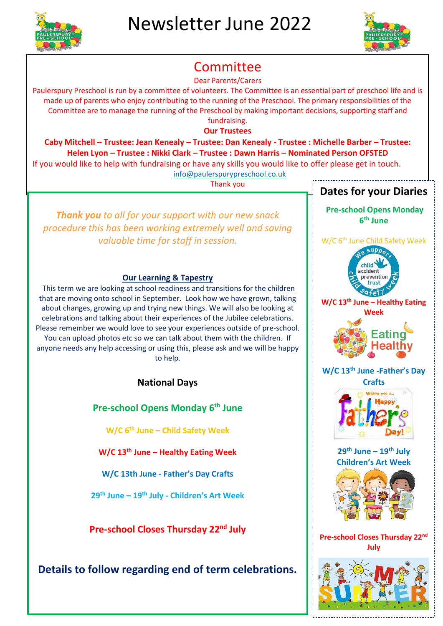



# Committee

Dear Parents/Carers

Paulerspury Preschool is run by a committee of volunteers. The Committee is an essential part of preschool life and is made up of parents who enjoy contributing to the running of the Preschool. The primary responsibilities of the Committee are to manage the running of the Preschool by making important decisions, supporting staff and fundraising.

**Our Trustees**

**Caby Mitchell – Trustee: Jean Kenealy – Trustee: Dan Kenealy - Trustee : Michelle Barber – Trustee: Helen Lyon – Trustee : Nikki Clark – Trustee : Dawn Harris – Nominated Person OFSTED** 

If you would like to help with fundraising or have any skills you would like to offer please get in touch.

[info@paulerspurypreschool.co.uk](mailto:info@paulerspurypreschool.co.uk)

Thank you

*Thank you to all for your support with our new snack procedure this has been working extremely well and saving valuable time for staff in session.*

#### **Our Learning & Tapestry**

This term we are looking at school readiness and transitions for the children that are moving onto school in September. Look how we have grown, talking about changes, growing up and trying new things. We will also be looking at celebrations and talking about their experiences of the Jubilee celebrations. Please remember we would love to see your experiences outside of pre-school. You can upload photos etc so we can talk about them with the children. If anyone needs any help accessing or using this, please ask and we will be happy to help.

### **National Days**

**Pre-school Opens Monday 6th June**

**W/C 6th June – Child Safety Week**

**W/C 13th June – Healthy Eating Week**

**W/C 13th June - Father's Day Crafts**

**29th June – 19th July - Children's Art Week**

**Pre-school Closes Thursday 22nd July**

## **Details to follow regarding end of term celebrations.**

## **Dates for your Diaries**

**Pre-school Opens Monday 6 th June**

W/C 6<sup>th</sup> June Child Safety Week



**W/C 13th June – Healthy Eating Week**



**W/C 13th June -Father's Day Crafts**



**29th June – 19th July Children's Art Week**



**Pre-school Closes Thursday 22nd July**

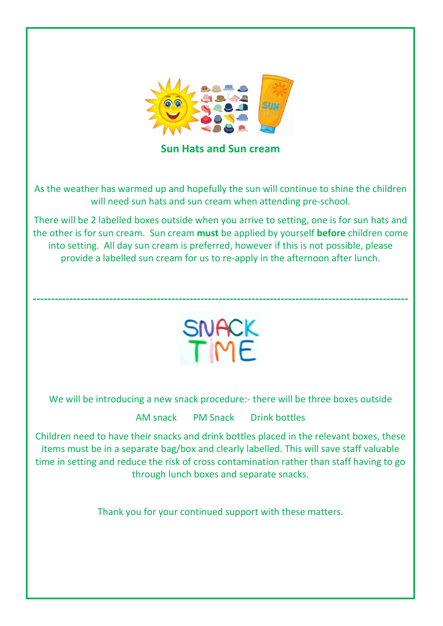

**Sun Hats and Sun cream**

As the weather has warmed up and hopefully the sun will continue to shine the children will need sun hats and sun cream when attending pre-school.

There will be 2 labelled boxes outside when you arrive to setting, one is for sun hats and the other is for sun cream. Sun cream **must** be applied by yourself **before** children come into setting. All day sun cream is preferred, however if this is not possible, please provide a labelled sun cream for us to re-apply in the afternoon after lunch.



**-------------------------------------------------------------------------------------------------------**

We will be introducing a new snack procedure:- there will be three boxes outside

AM snack PM Snack Drink bottles

Children need to have their snacks and drink bottles placed in the relevant boxes, these items must be in a separate bag/box and clearly labelled. This will save staff valuable time in setting and reduce the risk of cross contamination rather than staff having to go through lunch boxes and separate snacks.

Thank you for your continued support with these matters.